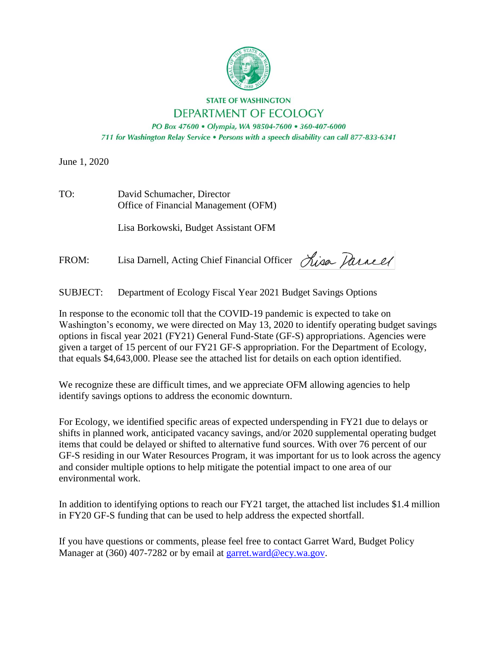

# **STATE OF WASHINGTON** DEPARTMENT OF ECOLOGY

PO Box 47600 · Olympia, WA 98504-7600 · 360-407-6000 711 for Washington Relay Service . Persons with a speech disability can call 877-833-6341

June 1, 2020

| TO: | David Schumacher, Director           |
|-----|--------------------------------------|
|     | Office of Financial Management (OFM) |

Lisa Borkowski, Budget Assistant OFM

FROM: Lisa Darnell, Acting Chief Financial Officer Lisa Darnell

SUBJECT: Department of Ecology Fiscal Year 2021 Budget Savings Options

In response to the economic toll that the COVID-19 pandemic is expected to take on Washington's economy, we were directed on May 13, 2020 to identify operating budget savings options in fiscal year 2021 (FY21) General Fund-State (GF-S) appropriations. Agencies were given a target of 15 percent of our FY21 GF-S appropriation. For the Department of Ecology, that equals \$4,643,000. Please see the attached list for details on each option identified.

We recognize these are difficult times, and we appreciate OFM allowing agencies to help identify savings options to address the economic downturn.

For Ecology, we identified specific areas of expected underspending in FY21 due to delays or shifts in planned work, anticipated vacancy savings, and/or 2020 supplemental operating budget items that could be delayed or shifted to alternative fund sources. With over 76 percent of our GF-S residing in our Water Resources Program, it was important for us to look across the agency and consider multiple options to help mitigate the potential impact to one area of our environmental work.

In addition to identifying options to reach our FY21 target, the attached list includes \$1.4 million in FY20 GF-S funding that can be used to help address the expected shortfall.

If you have questions or comments, please feel free to contact Garret Ward, Budget Policy Manager at (360) 407-7282 or by email at [garret.ward@ecy.wa.gov.](mailto:garret.ward@ecy.wa.gov)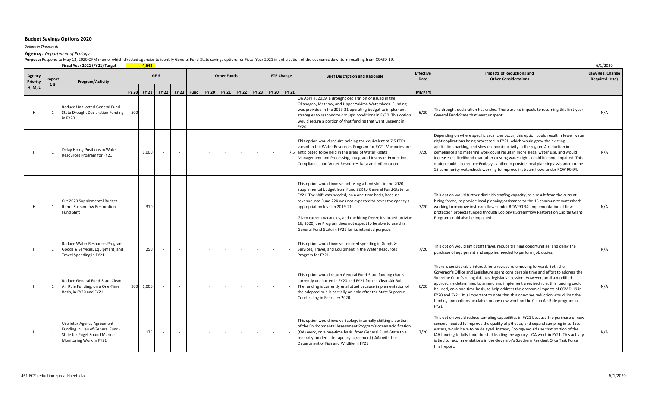## **Budget Savings Options 2020**

*Dollars in Thousands*

#### **Agency:** *Department of Ecology*

**Purpose:** Respond to May 13, 2020 OFM memo, which directed agencies to identify General Fund‐State savings options for Fiscal Year 2021 in anticipation of the economic downturn resulting from COVID‐19.

**Fiscal Year 2021 (FY21) Target 4,643** 6/1/2020

| Agency<br>Priority | Impact<br>$1 - 5$ | Program/Activity                                                                                                          |     |             | GF-S   |                          |      |       | <b>Other Funds</b> |                          |        |       | <b>FTE Change</b> | <b>Brief Description and Rationale</b>                                                                                                                                                                                                                                                                                                                                                                                                                                                 | <b>Effective</b><br>Date | <b>Impacts of Reductions and</b><br><b>Other Considerations</b>                                                                                                                                                                                                                                                                                                                                                                                                                                                                                                                                                  | Law/Reg. Change<br><b>Required (cite)</b> |
|--------------------|-------------------|---------------------------------------------------------------------------------------------------------------------------|-----|-------------|--------|--------------------------|------|-------|--------------------|--------------------------|--------|-------|-------------------|----------------------------------------------------------------------------------------------------------------------------------------------------------------------------------------------------------------------------------------------------------------------------------------------------------------------------------------------------------------------------------------------------------------------------------------------------------------------------------------|--------------------------|------------------------------------------------------------------------------------------------------------------------------------------------------------------------------------------------------------------------------------------------------------------------------------------------------------------------------------------------------------------------------------------------------------------------------------------------------------------------------------------------------------------------------------------------------------------------------------------------------------------|-------------------------------------------|
| H, M, L            |                   |                                                                                                                           |     | FY 20 FY 21 | FY 22  | <b>FY 23</b>             | Fund | FY 20 | <b>FY 21</b>       | <b>FY 22</b>             | FY 23  | FY 20 | <b>FY 21</b>      |                                                                                                                                                                                                                                                                                                                                                                                                                                                                                        | (MM/YY)                  |                                                                                                                                                                                                                                                                                                                                                                                                                                                                                                                                                                                                                  |                                           |
|                    | 1                 | Reduce Unallotted General Fund-<br><b>State Drought Declaration Funding</b><br>in FY20                                    | 500 | $\sim$      | $\sim$ | $\sim$                   |      |       |                    |                          |        |       |                   | On April 4, 2019, a drought declaration of issued in the<br>Okanogan, Methow, and Upper Yakima Watersheds. Funding<br>was provided in the 2019-21 operating budget to implement<br>strategies to respond to drought conditions in FY20. This option<br>would return a portion of that funding that went unspent in<br>FY20.                                                                                                                                                            | 6/20                     | The drought declaration has ended. There are no impacts to returning this first-year<br>General Fund-State that went unspent.                                                                                                                                                                                                                                                                                                                                                                                                                                                                                    | N/A                                       |
|                    | 1                 | Delay Hiring Positions in Water<br>Resources Program for FY21                                                             |     | 1,000       |        | $\overline{\phantom{a}}$ |      |       |                    | $\overline{\phantom{a}}$ | $\sim$ |       |                   | This option would require holding the equivalent of 7.5 FTEs<br>vacant in the Water Resources Program for FY21. Vacancies are<br>7.5 anticipated to be held in the areas of Water Rights<br>Management and Processing, Integrated Instream Protection,<br>Compliance, and Water Resources Data and Information.                                                                                                                                                                        | 7/20                     | Depending on where specific vacancies occur, this option could result in fewer water<br>right applications being processed in FY21, which would grow the existing<br>application backlog, and slow economic activity in the region. A reduction in<br>compliance and metering work could result in more illegal water use, and would<br>increase the likelihood that other existing water rights could become impaired. This<br>option could also reduce Ecology's ability to provide local planning assistance to the<br>15 community watersheds working to improve instream flows under RCW 90.94.             | N/A                                       |
| H                  | 1                 | Cut 2020 Supplemental Budget<br>Item - Streamflow Restoration<br><b>Fund Shift</b>                                        |     | 310         | $\sim$ | $\sim$                   |      |       | $\sim$             | $\sim$                   | $\sim$ |       |                   | This option would involve not using a fund shift in the 2020<br>supplemental budget from Fund 22K to General Fund-State for<br>FY21. The shift was needed, on a one-time basis, because<br>revenue into Fund 22K was not expected to cover the agency's<br>appropriation level in 2019-21.<br>Given current vacancies, and the hiring freeze instituted on May<br>18, 2020, the Program does not expect to be able to use this<br>General-Fund-State in FY21 for its intended purpose. | 7/20                     | This option would further diminish staffing capacity, as a result from the current<br>hiring freeze, to provide local planning assistance to the 15 community watersheds<br>working to improve instream flows under RCW 90.94. Implementation of flow<br>protection projects funded through Ecology's Streamflow Restoration Capital Grant<br>Program could also be impacted.                                                                                                                                                                                                                                    | N/A                                       |
| н                  | 1                 | Reduce Water Resources Program<br>Goods & Services, Equipment, and<br>Travel Spending in FY21                             |     | 250         |        | $\sim$                   |      |       |                    |                          |        |       |                   | This option would involve reduced spending in Goods &<br>Services, Travel, and Equipment in the Water Resources<br>Program for FY21.                                                                                                                                                                                                                                                                                                                                                   | 7/20                     | This option would limit staff travel, reduce training opportunities, and delay the<br>purchase of equipment and supplies needed to perform job duties.                                                                                                                                                                                                                                                                                                                                                                                                                                                           | N/A                                       |
|                    | 1                 | Reduce General Fund-State Clean<br>Air Rule Funding, on a One-Time<br>Basis. in FY20 and FY21                             |     | 900 1,000   |        | $\sim$                   |      |       |                    |                          | $\sim$ |       |                   | This option would return General Fund-State funding that is<br>currently unallotted in FY20 and FY21 for the Clean Air Rule.<br>The funding is currently unallotted because implementation of<br>the adopted rule is partially on hold after the State Supreme<br>Court ruling in February 2020.                                                                                                                                                                                       | 6/20                     | There is considerable interest for a revised rule moving forward. Both the<br>Governor's Office and Legislature spent considerable time and effort to address the<br>Supreme Court's ruling this past legislative session. However, until a modified<br>approach is determined to amend and implement a revised rule, this funding could<br>be used, on a one-time basis, to help address the economic impacts of COVID-19 in<br>FY20 and FY21. It is important to note that this one-time reduction would limit the<br>funding and options available for any new work on the Clean Air Rule program in<br>FY21. | N/A                                       |
|                    | $\overline{1}$    | Use Inter-Agency Agreement<br>Funding in Lieu of General Fund-<br>State for Puget Sound Marine<br>Monitoring Work in FY21 |     | 175         |        | $\sim$                   |      |       | $\sim$             | $\sim$                   | $\sim$ |       |                   | This option would involve Ecology internally shifting a portion<br>of the Environmental Assessment Program's ocean acidification<br>(OA) work, on a one-time basis, from General Fund-State to a<br>federally-funded inter-agency agreement (IAA) with the<br>Department of Fish and Wildlife in FY21.                                                                                                                                                                                 | 7/20                     | This option would reduce sampling capabilities in FY21 because the purchase of new<br>sensors needed to improve the quality of pH data, and expand sampling in surface<br>waters, would have to be delayed. Instead, Ecology would use that portion of the<br>IAA funding to fully fund the staff leading the agency's OA work in FY21. This activity<br>is tied to recommendations in the Governor's Southern Resident Orca Task Force<br>final report.                                                                                                                                                         | N/A                                       |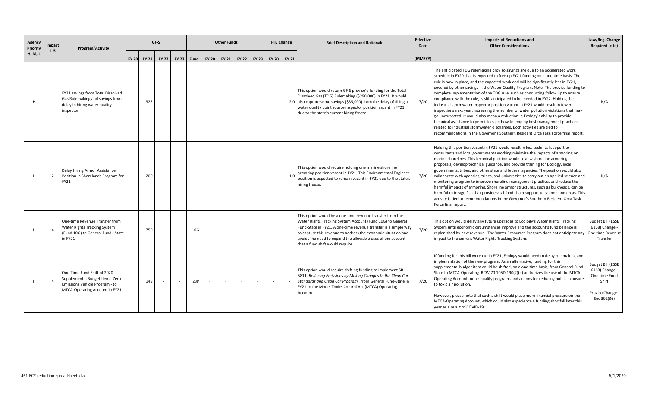| Agency<br>Priority | Impact<br>$1 - 5$ | Program/Activity                                                                                                                   |  |             | GF-S         |                          | <b>Other Funds</b> |              |              |                              |                          |              | <b>FTE Change</b><br><b>Brief Description and Rationale</b>                                                                                                                                                                                                                                                                                                    | <b>Effective</b><br>Date | <b>Impacts of Reductions and</b><br><b>Other Considerations</b>                                                                                                                                                                                                                                                                                                                                                                                                                                                                                                                                                                                                                                                                                                                                                                                                                                                                                                                                                                      | Law/Reg. Change<br><b>Required (cite)</b>                                                               |
|--------------------|-------------------|------------------------------------------------------------------------------------------------------------------------------------|--|-------------|--------------|--------------------------|--------------------|--------------|--------------|------------------------------|--------------------------|--------------|----------------------------------------------------------------------------------------------------------------------------------------------------------------------------------------------------------------------------------------------------------------------------------------------------------------------------------------------------------------|--------------------------|--------------------------------------------------------------------------------------------------------------------------------------------------------------------------------------------------------------------------------------------------------------------------------------------------------------------------------------------------------------------------------------------------------------------------------------------------------------------------------------------------------------------------------------------------------------------------------------------------------------------------------------------------------------------------------------------------------------------------------------------------------------------------------------------------------------------------------------------------------------------------------------------------------------------------------------------------------------------------------------------------------------------------------------|---------------------------------------------------------------------------------------------------------|
| H, M, L            |                   |                                                                                                                                    |  | FY 20 FY 21 | <b>FY 22</b> | <b>FY 23</b>             | Fund               | <b>FY 20</b> | <b>FY 21</b> | <b>FY 22</b><br><b>FY 23</b> |                          | <b>FY 20</b> | <b>FY 21</b>                                                                                                                                                                                                                                                                                                                                                   | (MM/YY)                  |                                                                                                                                                                                                                                                                                                                                                                                                                                                                                                                                                                                                                                                                                                                                                                                                                                                                                                                                                                                                                                      |                                                                                                         |
|                    | $\overline{1}$    | FY21 savings from Total Dissolved<br>Gas Rulemaking and savings from<br>delay in hiring water quality<br>inspector.                |  | 325         | $\sim$       | $\overline{\phantom{a}}$ |                    | $\sim$       |              |                              |                          |              | This option would return GF-S proviso'd funding for the Total<br>Dissolved Gas (TDG) Rulemaking (\$290,000) in FY21. It would<br>2.0 also capture some savings (\$35,000) from the delay of filling a<br>water quality point source inspector position vacant in FY21<br>due to the state's current hiring freeze.                                             | 7/20                     | The anticipated TDG rulemaking proviso savings are due to an accelerated work<br>schedule in FY20 that is expected to free up FY21 funding on a one-time basis. The<br>rule is now in place, and the expected workload will be significantly less in FY21,<br>covered by other savings in the Water Quality Program. Note: The proviso funding to<br>complete implementation of the TDG rule, such as conducting follow up to ensure<br>compliance with the rule, is still anticipated to be needed in FY22. Holding the<br>industrial stormwater inspector position vacant in FY21 would result in fewer<br>inspections next year, increasing the number of water pollution violations that may<br>go uncorrected. It would also mean a reduction in Ecology's ability to provide<br>technical assistance to permittees on how to employ best management practices<br>related to industrial stormwater discharges. Both activities are tied to<br>recommendations in the Governor's Southern Resident Orca Task Force final report. | N/A                                                                                                     |
| H                  | $\overline{2}$    | Delay Hiring Armor Assistance<br>Position in Shorelands Program for<br>FY21                                                        |  | 200         |              | $\overline{\phantom{a}}$ |                    | $\sim$       |              |                              |                          |              | This option would require holding one marine shoreline<br>armoring position vacant in FY21. This Environmental Engineer<br>1.0<br>position is expected to remain vacant in FY21 due to the state's<br>hiring freeze.                                                                                                                                           | 7/20                     | Holding this position vacant in FY21 would result in less technical support to<br>consultants and local governments working minimize the impacts of armoring on<br>marine shorelines. This technical position would review shoreline armoring<br>proposals, develop technical guidance, and provide training for Ecology, local<br>governments, tribes, and other state and federal agencies. The position would also<br>collaborate with agencies, tribes, and universities to carry out an applied science and<br>monitoring program to improve shoreline management practices and reduce the<br>harmful impacts of armoring. Shoreline armor structures, such as bulkheads, can be<br>harmful to forage fish that provide vital food chain support to salmon and orcas. This<br>activity is tied to recommendations in the Governor's Southern Resident Orca Task<br>Force final report.                                                                                                                                          | N/A                                                                                                     |
|                    | $\overline{4}$    | One-time Revenue Transfer from<br>Water Rights Tracking System<br>(Fund 10G) to General Fund - State<br>in FY21                    |  | 750         | $\sim$       | $\sim$                   | 10G                | $\sim$       |              |                              |                          |              | This option would be a one-time revenue transfer from the<br>Water Rights Tracking System Account (Fund 10G) to General<br>Fund-State in FY21. A one-time revenue transfer is a simple way<br>to capture this revenue to address the economic situation and<br>avoids the need to expand the allowable uses of the account<br>that a fund shift would require. | 7/20                     | This option would delay any future upgrades to Ecology's Water Rights Tracking<br>System until economic circumstances improve and the account's fund balance is<br>replenished by new revenue. The Water Resources Program does not anticipate any<br>impact to the current Water Rights Tracking System.                                                                                                                                                                                                                                                                                                                                                                                                                                                                                                                                                                                                                                                                                                                            | <b>Budget Bill (ESSB</b><br>6168) Change -<br>One-time Revenue<br>Transfer                              |
|                    | $\Delta$          | One-Time Fund Shift of 2020<br>Supplemental Budget Item - Zero<br>Emissions Vehicle Program - to<br>MTCA-Operating Account in FY21 |  | 149         | $\sim$       | $\sim$                   | 23P                | $\sim$       | $\sim$       | $\sim$                       | $\overline{\phantom{a}}$ | $\sim$       | This option would require shifting funding to implement SB<br>5811, Reducing Emissions by Making Changes to the Clean Car<br>Standards and Clean Car Program, from General Fund-State in<br>FY21 to the Model Toxics Control Act (MTCA) Operating<br>Account.                                                                                                  | 7/20                     | If funding for this bill were cut in FY21, Ecology would need to delay rulemaking and<br>implementation of the new program. As an alternative, funding for this<br>supplemental budget item could be shifted, on a one-time basis, from General Fund-<br>State to MTCA-Operating. RCW 70.105D.190(2)(n) authorizes the use of the MTCA-<br>Operating Account for air quality programs and actions for reducing public exposure<br>to toxic air pollution.<br>However, please note that such a shift would place more financial pressure on the<br>MTCA-Operating Account, which could also experience a funding shortfall later this<br>year as a result of COVID-19.                                                                                                                                                                                                                                                                                                                                                                | <b>Budget Bill (ESSB</b><br>6168) Change -<br>One-time Fund<br>Shift<br>Proviso Change -<br>Sec 302(36) |